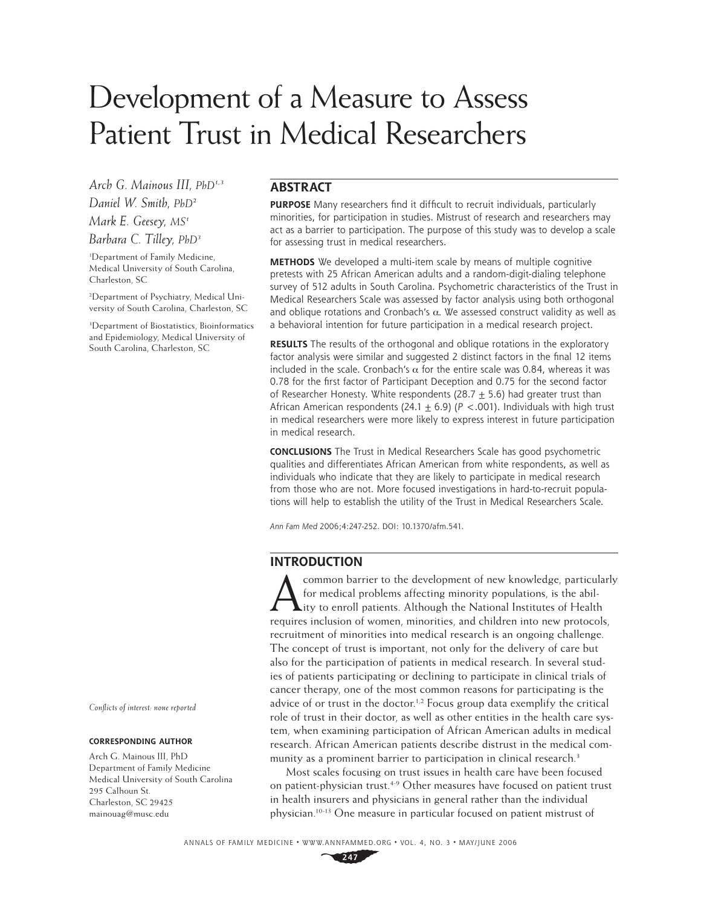# Development of a Measure to Assess Patient Trust in Medical Researchers

*Arch G. Mainous III, PhD1,3 Daniel W. Smith, PhD2 Mark E. Geesey, MS1 Barbara C. Tilley, PhD3*

1 Department of Family Medicine, Medical University of South Carolina, Charleston, SC

2 Department of Psychiatry, Medical University of South Carolina, Charleston, SC

3 Department of Biostatistics, Bioinformatics and Epidemiology, Medical University of South Carolina, Charleston, SC

#### *Confl icts of interest: none reported*

#### **CORRESPONDING AUTHOR**

Arch G. Mainous III, PhD Department of Family Medicine Medical University of South Carolina 295 Calhoun St. Charleston, SC 29425 mainouag@musc.edu

# **ABSTRACT**

**PURPOSE** Many researchers find it difficult to recruit individuals, particularly minorities, for participation in studies. Mistrust of research and researchers may act as a barrier to participation. The purpose of this study was to develop a scale for assessing trust in medical researchers.

**METHODS** We developed a multi-item scale by means of multiple cognitive pretests with 25 African American adults and a random-digit-dialing telephone survey of 512 adults in South Carolina. Psychometric characteristics of the Trust in Medical Researchers Scale was assessed by factor analysis using both orthogonal and oblique rotations and Cronbach's  $\alpha$ . We assessed construct validity as well as a behavioral intention for future participation in a medical research project.

**RESULTS** The results of the orthogonal and oblique rotations in the exploratory factor analysis were similar and suggested 2 distinct factors in the final 12 items included in the scale. Cronbach's  $\alpha$  for the entire scale was 0.84, whereas it was 0.78 for the first factor of Participant Deception and 0.75 for the second factor of Researcher Honesty. White respondents (28.7  $\pm$  5.6) had greater trust than African American respondents (24.1  $\pm$  6.9) ( $P < .001$ ). Individuals with high trust in medical researchers were more likely to express interest in future participation in medical research.

**CONCLUSIONS** The Trust in Medical Researchers Scale has good psychometric qualities and differentiates African American from white respondents, as well as individuals who indicate that they are likely to participate in medical research from those who are not. More focused investigations in hard-to-recruit populations will help to establish the utility of the Trust in Medical Researchers Scale.

*Ann Fam Med* 2006;4:247-252. DOI: 10.1370/afm.541.

## **INTRODUCTION**

common barrier to the development of new knowledge, particularly for medical problems affecting minority populations, is the abil- $\blacktriangle$ ity to enroll patients. Although the National Institutes of Health requires inclusion of women, minorities, and children into new protocols, recruitment of minorities into medical research is an ongoing challenge. The concept of trust is important, not only for the delivery of care but also for the participation of patients in medical research. In several studies of patients participating or declining to participate in clinical trials of cancer therapy, one of the most common reasons for participating is the advice of or trust in the doctor.<sup>1,2</sup> Focus group data exemplify the critical role of trust in their doctor, as well as other entities in the health care system, when examining participation of African American adults in medical research. African American patients describe distrust in the medical community as a prominent barrier to participation in clinical research.<sup>3</sup>

Most scales focusing on trust issues in health care have been focused on patient-physician trust.<sup>4-9</sup> Other measures have focused on patient trust in health insurers and physicians in general rather than the individual physician.10-13 One measure in particular focused on patient mistrust of

ANNALS OF FAMILY MEDICINE ✦ WWW.ANNFAMMED.ORG ✦ VOL. 4, NO. 3 ✦ MAY/JUNE 2006

**247**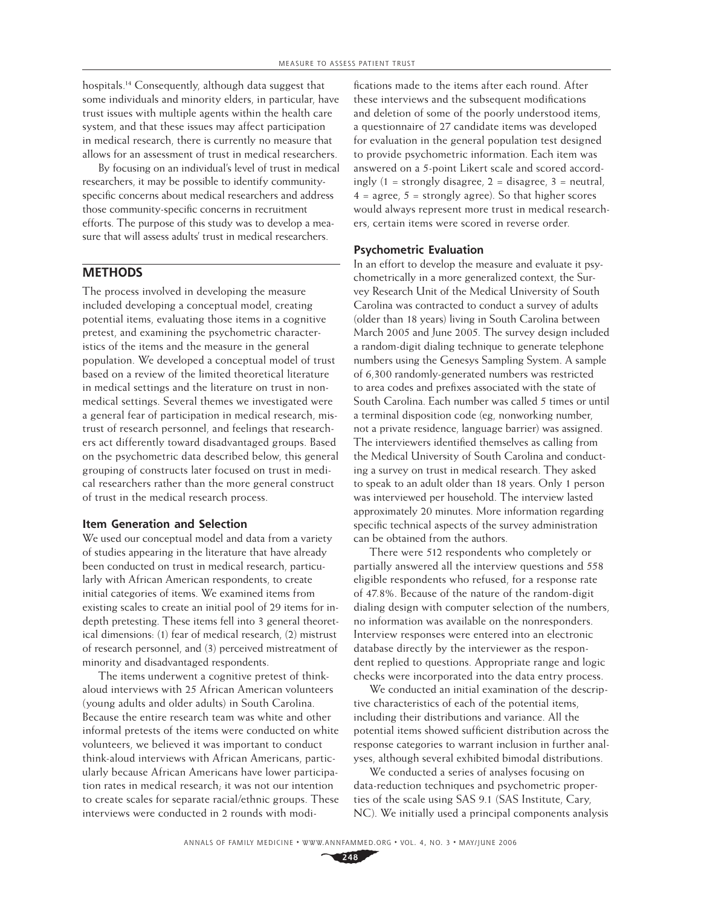hospitals.14 Consequently, although data suggest that some individuals and minority elders, in particular, have trust issues with multiple agents within the health care system, and that these issues may affect participation in medical research, there is currently no measure that allows for an assessment of trust in medical researchers.

By focusing on an individual's level of trust in medical researchers, it may be possible to identify communityspecific concerns about medical researchers and address those community-specific concerns in recruitment efforts. The purpose of this study was to develop a measure that will assess adults' trust in medical researchers.

# **METHODS**

The process involved in developing the measure included developing a conceptual model, creating potential items, evaluating those items in a cognitive pretest, and examining the psychometric characteristics of the items and the measure in the general population. We developed a conceptual model of trust based on a review of the limited theoretical literature in medical settings and the literature on trust in nonmedical settings. Several themes we investigated were a general fear of participation in medical research, mistrust of research personnel, and feelings that researchers act differently toward disadvantaged groups. Based on the psychometric data described below, this general grouping of constructs later focused on trust in medical researchers rather than the more general construct of trust in the medical research process.

## **Item Generation and Selection**

We used our conceptual model and data from a variety of studies appearing in the literature that have already been conducted on trust in medical research, particularly with African American respondents, to create initial categories of items. We examined items from existing scales to create an initial pool of 29 items for indepth pretesting. These items fell into 3 general theoretical dimensions: (1) fear of medical research, (2) mistrust of research personnel, and (3) perceived mistreatment of minority and disadvantaged respondents.

The items underwent a cognitive pretest of thinkaloud interviews with 25 African American volunteers (young adults and older adults) in South Carolina. Because the entire research team was white and other informal pretests of the items were conducted on white volunteers, we believed it was important to conduct think-aloud interviews with African Americans, particularly because African Americans have lower participation rates in medical research; it was not our intention to create scales for separate racial/ethnic groups. These interviews were conducted in 2 rounds with modi-

fications made to the items after each round. After these interviews and the subsequent modifications and deletion of some of the poorly understood items, a questionnaire of 27 candidate items was developed for evaluation in the general population test designed to provide psychometric information. Each item was answered on a 5-point Likert scale and scored accordingly  $(1 =$  strongly disagree,  $2 =$  disagree,  $3 =$  neutral,  $4 = \text{agree}, 5 = \text{strongly agree}.$  So that higher scores would always represent more trust in medical researchers, certain items were scored in reverse order.

## **Psychometric Evaluation**

In an effort to develop the measure and evaluate it psychometrically in a more generalized context, the Survey Research Unit of the Medical University of South Carolina was contracted to conduct a survey of adults (older than 18 years) living in South Carolina between March 2005 and June 2005. The survey design included a random-digit dialing technique to generate telephone numbers using the Genesys Sampling System. A sample of 6,300 randomly-generated numbers was restricted to area codes and prefixes associated with the state of South Carolina. Each number was called 5 times or until a terminal disposition code (eg, nonworking number, not a private residence, language barrier) was assigned. The interviewers identified themselves as calling from the Medical University of South Carolina and conducting a survey on trust in medical research. They asked to speak to an adult older than 18 years. Only 1 person was interviewed per household. The interview lasted approximately 20 minutes. More information regarding specific technical aspects of the survey administration can be obtained from the authors.

There were 512 respondents who completely or partially answered all the interview questions and 558 eligible respondents who refused, for a response rate of 47.8%. Because of the nature of the random-digit dialing design with computer selection of the numbers, no information was available on the nonresponders. Interview responses were entered into an electronic database directly by the interviewer as the respondent replied to questions. Appropriate range and logic checks were incorporated into the data entry process.

We conducted an initial examination of the descriptive characteristics of each of the potential items, including their distributions and variance. All the potential items showed sufficient distribution across the response categories to warrant inclusion in further analyses, although several exhibited bimodal distributions.

We conducted a series of analyses focusing on data-reduction techniques and psychometric properties of the scale using SAS 9.1 (SAS Institute, Cary, NC). We initially used a principal components analysis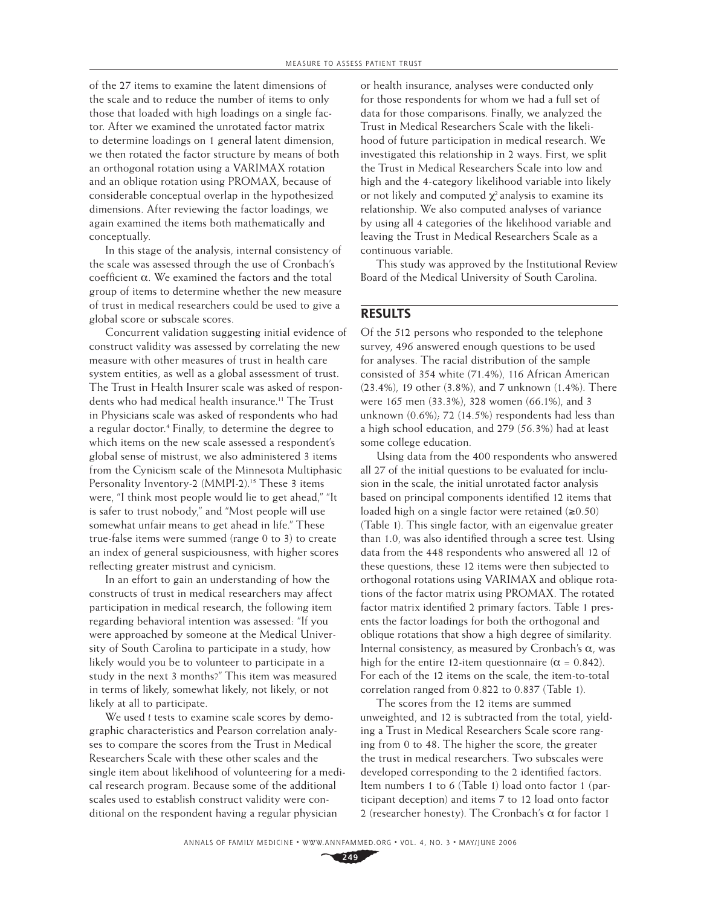of the 27 items to examine the latent dimensions of the scale and to reduce the number of items to only those that loaded with high loadings on a single factor. After we examined the unrotated factor matrix to determine loadings on 1 general latent dimension, we then rotated the factor structure by means of both an orthogonal rotation using a VARIMAX rotation and an oblique rotation using PROMAX, because of considerable conceptual overlap in the hypothesized dimensions. After reviewing the factor loadings, we again examined the items both mathematically and conceptually.

In this stage of the analysis, internal consistency of the scale was assessed through the use of Cronbach's coefficient  $\alpha$ . We examined the factors and the total group of items to determine whether the new measure of trust in medical researchers could be used to give a global score or subscale scores.

Concurrent validation suggesting initial evidence of construct validity was assessed by correlating the new measure with other measures of trust in health care system entities, as well as a global assessment of trust. The Trust in Health Insurer scale was asked of respondents who had medical health insurance.<sup>11</sup> The Trust in Physicians scale was asked of respondents who had a regular doctor.4 Finally, to determine the degree to which items on the new scale assessed a respondent's global sense of mistrust, we also administered 3 items from the Cynicism scale of the Minnesota Multiphasic Personality Inventory-2 (MMPI-2).<sup>15</sup> These 3 items were, "I think most people would lie to get ahead," "It is safer to trust nobody," and "Most people will use somewhat unfair means to get ahead in life." These true-false items were summed (range 0 to 3) to create an index of general suspiciousness, with higher scores reflecting greater mistrust and cynicism.

In an effort to gain an understanding of how the constructs of trust in medical researchers may affect participation in medical research, the following item regarding behavioral intention was assessed: "If you were approached by someone at the Medical University of South Carolina to participate in a study, how likely would you be to volunteer to participate in a study in the next 3 months?" This item was measured in terms of likely, somewhat likely, not likely, or not likely at all to participate.

We used *t* tests to examine scale scores by demographic characteristics and Pearson correlation analyses to compare the scores from the Trust in Medical Researchers Scale with these other scales and the single item about likelihood of volunteering for a medical research program. Because some of the additional scales used to establish construct validity were conditional on the respondent having a regular physician

or health insurance, analyses were conducted only for those respondents for whom we had a full set of data for those comparisons. Finally, we analyzed the Trust in Medical Researchers Scale with the likelihood of future participation in medical research. We investigated this relationship in 2 ways. First, we split the Trust in Medical Researchers Scale into low and high and the 4-category likelihood variable into likely or not likely and computed  $\chi^2$  analysis to examine its relationship. We also computed analyses of variance by using all 4 categories of the likelihood variable and leaving the Trust in Medical Researchers Scale as a continuous variable.

This study was approved by the Institutional Review Board of the Medical University of South Carolina.

# **RESULTS**

Of the 512 persons who responded to the telephone survey, 496 answered enough questions to be used for analyses. The racial distribution of the sample consisted of 354 white (71.4%), 116 African American (23.4%), 19 other (3.8%), and 7 unknown (1.4%). There were 165 men (33.3%), 328 women (66.1%), and 3 unknown (0.6%); 72 (14.5%) respondents had less than a high school education, and 279 (56.3%) had at least some college education.

Using data from the 400 respondents who answered all 27 of the initial questions to be evaluated for inclusion in the scale, the initial unrotated factor analysis based on principal components identified 12 items that loaded high on a single factor were retained  $(≥0.50)$ (Table 1). This single factor, with an eigenvalue greater than 1.0, was also identified through a scree test. Using data from the 448 respondents who answered all 12 of these questions, these 12 items were then subjected to orthogonal rotations using VARIMAX and oblique rotations of the factor matrix using PROMAX. The rotated factor matrix identified 2 primary factors. Table 1 presents the factor loadings for both the orthogonal and oblique rotations that show a high degree of similarity. Internal consistency, as measured by Cronbach's α, was high for the entire 12-item questionnaire ( $\alpha = 0.842$ ). For each of the 12 items on the scale, the item-to-total correlation ranged from 0.822 to 0.837 (Table 1).

The scores from the 12 items are summed unweighted, and 12 is subtracted from the total, yielding a Trust in Medical Researchers Scale score ranging from 0 to 48. The higher the score, the greater the trust in medical researchers. Two subscales were developed corresponding to the 2 identified factors. Item numbers 1 to 6 (Table 1) load onto factor 1 (participant deception) and items 7 to 12 load onto factor 2 (researcher honesty). The Cronbach's  $\alpha$  for factor 1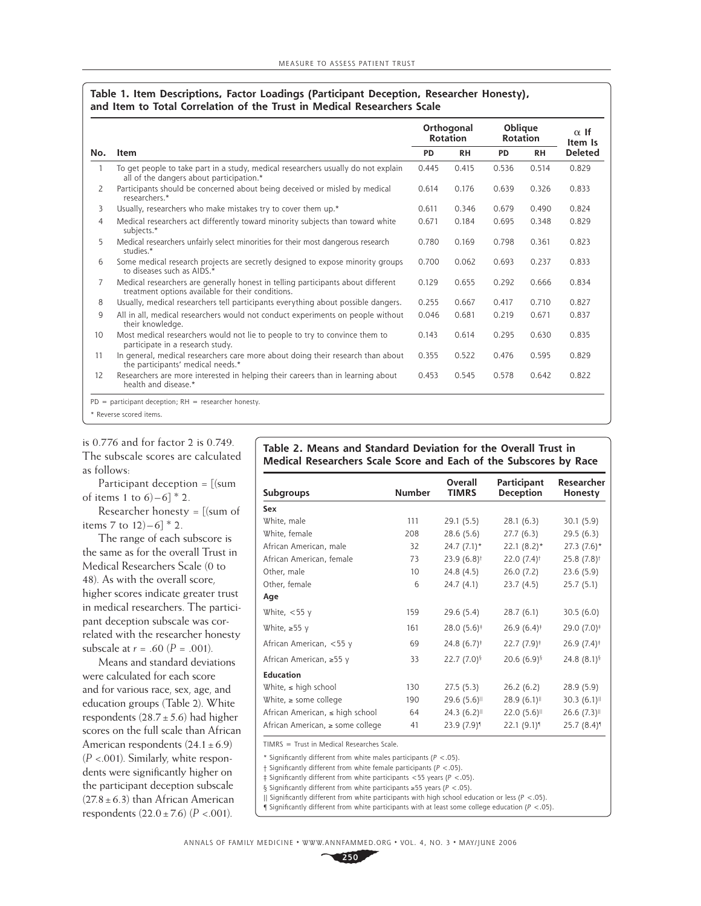#### **Table 1. Item Descriptions, Factor Loadings (Participant Deception, Researcher Honesty), and Item to Total Correlation of the Trust in Medical Researchers Scale**

| No. |                                                                                                                                       | Orthogonal<br><b>Rotation</b> |           | <b>Oblique</b><br><b>Rotation</b> |           | $\alpha$ If<br>Item Is |
|-----|---------------------------------------------------------------------------------------------------------------------------------------|-------------------------------|-----------|-----------------------------------|-----------|------------------------|
|     | <b>Item</b>                                                                                                                           |                               | <b>RH</b> | <b>PD</b>                         | <b>RH</b> | <b>Deleted</b>         |
| 1   | To get people to take part in a study, medical researchers usually do not explain<br>all of the dangers about participation.*         | 0.445                         | 0.415     | 0.536                             | 0.514     | 0.829                  |
| 2   | Participants should be concerned about being deceived or misled by medical<br>researchers.*                                           | 0.614                         | 0.176     | 0.639                             | 0.326     | 0.833                  |
| 3   | Usually, researchers who make mistakes try to cover them up.*                                                                         | 0.611                         | 0.346     | 0.679                             | 0.490     | 0.824                  |
| 4   | Medical researchers act differently toward minority subjects than toward white<br>subjects.*                                          | 0.671                         | 0.184     | 0.695                             | 0.348     | 0.829                  |
| 5   | Medical researchers unfairly select minorities for their most dangerous research<br>studies.*                                         | 0.780                         | 0.169     | 0.798                             | 0.361     | 0.823                  |
| 6   | Some medical research projects are secretly designed to expose minority groups<br>to diseases such as AIDS.*                          | 0.700                         | 0.062     | 0.693                             | 0.237     | 0.833                  |
| 7   | Medical researchers are generally honest in telling participants about different<br>treatment options available for their conditions. | 0.129                         | 0.655     | 0.292                             | 0.666     | 0.834                  |
| 8   | Usually, medical researchers tell participants everything about possible dangers.                                                     | 0.255                         | 0.667     | 0.417                             | 0.710     | 0.827                  |
| 9   | All in all, medical researchers would not conduct experiments on people without<br>their knowledge.                                   | 0.046                         | 0.681     | 0.219                             | 0.671     | 0.837                  |
| 10  | Most medical researchers would not lie to people to try to convince them to<br>participate in a research study.                       | 0.143                         | 0.614     | 0.295                             | 0.630     | 0.835                  |
| 11  | In general, medical researchers care more about doing their research than about<br>the participants' medical needs.*                  | 0.355                         | 0.522     | 0.476                             | 0.595     | 0.829                  |
| 12  | Researchers are more interested in helping their careers than in learning about<br>health and disease.*                               | 0.453                         | 0.545     | 0.578                             | 0.642     | 0.822                  |

is 0.776 and for factor 2 is 0.749. The subscale scores are calculated as follows:

Participant deception = [(sum of items 1 to  $6$ ) – 6]  $*$  2.

Researcher honesty =  $[(sum of$ items 7 to  $12$ ) – 6]  $*$  2.

The range of each subscore is the same as for the overall Trust in Medical Researchers Scale (0 to 48). As with the overall score, higher scores indicate greater trust in medical researchers. The participant deception subscale was correlated with the researcher honesty subscale at  $r = .60 (P = .001)$ .

Means and standard deviations were calculated for each score and for various race, sex, age, and education groups (Table 2). White respondents  $(28.7 \pm 5.6)$  had higher scores on the full scale than African American respondents  $(24.1 \pm 6.9)$  $(P < .001)$ . Similarly, white respondents were significantly higher on the participant deception subscale  $(27.8 \pm 6.3)$  than African American respondents  $(22.0 \pm 7.6)$   $(P < .001)$ .

## **Table 2. Means and Standard Deviation for the Overall Trust in Medical Researchers Scale Score and Each of the Subscores by Race**

| <b>Subgroups</b>                     | <b>Number</b>   | Overall<br><b>TIMRS</b>  | Participant<br><b>Deception</b> | <b>Researcher</b><br>Honesty |
|--------------------------------------|-----------------|--------------------------|---------------------------------|------------------------------|
| Sex                                  |                 |                          |                                 |                              |
| White, male                          | 111             | 29.1 (5.5)               | 28.1(6.3)                       | 30.1(5.9)                    |
| White, female                        | 208             | 28.6(5.6)                | 27.7(6.3)                       | 29.5(6.3)                    |
| African American, male               | 32              | $24.7(7.1)$ *            | $22.1(8.2)$ *                   | $27.3(7.6)$ *                |
| African American, female             | 73              | $23.9(6.8)$ <sup>†</sup> | $22.0(7.4)$ <sup>†</sup>        | 25.8 (7.8) <sup>†</sup>      |
| Other, male                          | 10 <sup>°</sup> | 24.8 (4.5)               | 26.0(7.2)                       | 23.6(5.9)                    |
| Other, female                        | 6               | 24.7(4.1)                | 23.7(4.5)                       | 25.7(5.1)                    |
| Age                                  |                 |                          |                                 |                              |
| White, $<$ 55 y                      | 159             | 29.6 (5.4)               | 28.7(6.1)                       | 30.5(6.0)                    |
| White, $\geq 55$ y                   | 161             | 28.0 (5.6) <sup>‡</sup>  | $26.9(6.4)$ <sup>#</sup>        | 29.0 (7.0) <sup>‡</sup>      |
| African American, <55 y              | 69              | 24.8 $(6.7)^{\ddagger}$  | $22.7(7.9)^{\ddagger}$          | $26.9(7.4)$ <sup>#</sup>     |
| African American, ≥55 y              | 33              | 22.7 $(7.0)^{5}$         | 20.6 $(6.9)^{5}$                | 24.8 $(8.1)$ <sup>§</sup>    |
| <b>Education</b>                     |                 |                          |                                 |                              |
| White, $\leq$ high school            | 130             | 27.5(5.3)                | 26.2(6.2)                       | 28.9 (5.9)                   |
| White, $\ge$ some college            | 190             | 29.6 (5.6)               | 28.9(6.1)                       | 30.3(6.1)                    |
| African American, $\leq$ high school | 64              | 24.3(6.2)                | 22.0(5.6)                       | 26.6 (7.3)                   |
| African American, ≥ some college     | 41              | 23.9 (7.9)               | 22.1 (9.1)                      | 25.7 (8.4) <sup>1</sup>      |

TIMRS = Trust in Medical Researches Scale.

\* Signifi cantly different from white males participants (*P* <.05).

† Signifi cantly different from white female participants (*P* <.05).

‡ Signifi cantly different from white participants <55 years (*P* <.05).

§ Significantly different from white participants ≥55 years ( $P < .05$ ).

|| Signifi cantly different from white participants with high school education or less (*P* <.05).

 $\int$  Significantly different from white participants with at least some college education ( $P < .05$ ).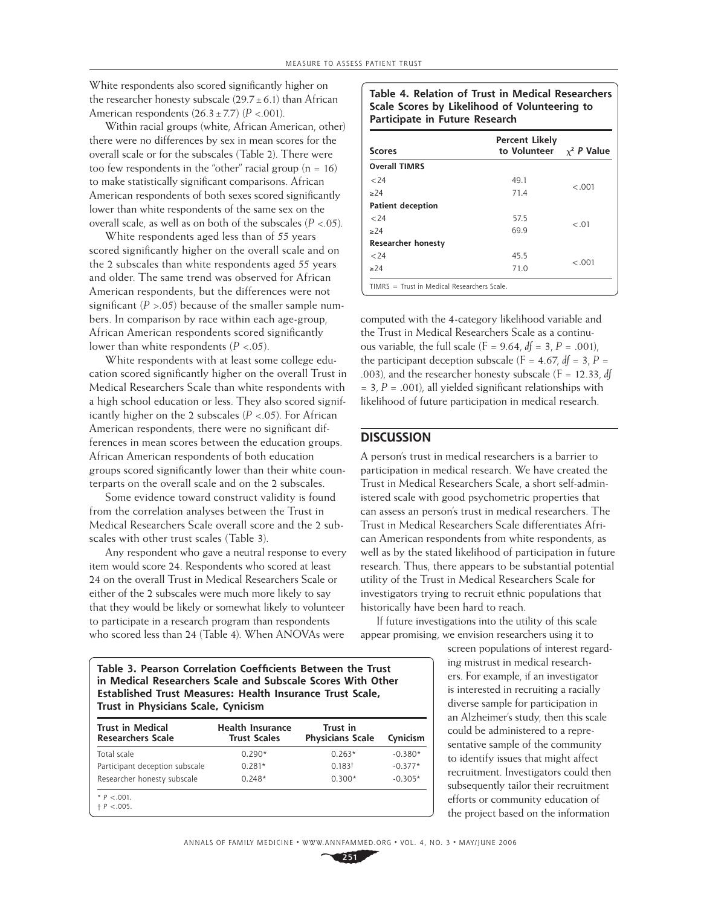White respondents also scored significantly higher on the researcher honesty subscale  $(29.7 \pm 6.1)$  than African American respondents  $(26.3 \pm 7.7)$   $(P < .001)$ .

Within racial groups (white, African American, other) there were no differences by sex in mean scores for the overall scale or for the subscales (Table 2). There were too few respondents in the "other" racial group  $(n = 16)$ to make statistically significant comparisons. African American respondents of both sexes scored significantly lower than white respondents of the same sex on the overall scale, as well as on both of the subscales (*P* <.05).

White respondents aged less than of 55 years scored significantly higher on the overall scale and on the 2 subscales than white respondents aged 55 years and older. The same trend was observed for African American respondents, but the differences were not significant  $(P > .05)$  because of the smaller sample numbers. In comparison by race within each age-group, African American respondents scored significantly lower than white respondents  $(P < .05)$ .

White respondents with at least some college education scored significantly higher on the overall Trust in Medical Researchers Scale than white respondents with a high school education or less. They also scored significantly higher on the 2 subscales (*P* <.05). For African American respondents, there were no significant differences in mean scores between the education groups. African American respondents of both education groups scored significantly lower than their white counterparts on the overall scale and on the 2 subscales.

Some evidence toward construct validity is found from the correlation analyses between the Trust in Medical Researchers Scale overall score and the 2 subscales with other trust scales (Table 3).

Any respondent who gave a neutral response to every item would score 24. Respondents who scored at least 24 on the overall Trust in Medical Researchers Scale or either of the 2 subscales were much more likely to say that they would be likely or somewhat likely to volunteer to participate in a research program than respondents who scored less than 24 (Table 4). When ANOVAs were

**Table 4. Relation of Trust in Medical Researchers Scale Scores by Likelihood of Volunteering to Participate in Future Research**

| <b>Scores</b>                                 | <b>Percent Likely</b><br>to Volunteer | $\chi^2$ P Value |  |  |  |
|-----------------------------------------------|---------------------------------------|------------------|--|--|--|
| <b>Overall TIMRS</b>                          |                                       |                  |  |  |  |
| < 74                                          | 49.1                                  |                  |  |  |  |
| >24                                           | 71.4                                  | $-.001$          |  |  |  |
| <b>Patient deception</b>                      |                                       |                  |  |  |  |
| 24                                            | 57.5                                  | $-.01$           |  |  |  |
| >24                                           | 69.9                                  |                  |  |  |  |
| <b>Researcher honesty</b>                     |                                       |                  |  |  |  |
| < 24                                          | 45.5                                  | $-.001$          |  |  |  |
| >24                                           | 71.0                                  |                  |  |  |  |
| $TIMRS = Trust in Medical Researchers Scale.$ |                                       |                  |  |  |  |

computed with the 4-category likelihood variable and the Trust in Medical Researchers Scale as a continuous variable, the full scale ( $F = 9.64$ ,  $df = 3$ ,  $P = .001$ ), the participant deception subscale  $(F = 4.67, df = 3, P = 1)$ .003), and the researcher honesty subscale (F = 12.33, *df*  $= 3, P = .001$ , all yielded significant relationships with likelihood of future participation in medical research.

## **DISCUSSION**

A person's trust in medical researchers is a barrier to participation in medical research. We have created the Trust in Medical Researchers Scale, a short self-administered scale with good psychometric properties that can assess an person's trust in medical researchers. The Trust in Medical Researchers Scale differentiates African American respondents from white respondents, as well as by the stated likelihood of participation in future research. Thus, there appears to be substantial potential utility of the Trust in Medical Researchers Scale for investigators trying to recruit ethnic populations that historically have been hard to reach.

If future investigations into the utility of this scale appear promising, we envision researchers using it to

> screen populations of interest regarding mistrust in medical researchers. For example, if an investigator is interested in recruiting a racially diverse sample for participation in an Alzheimer's study, then this scale could be administered to a representative sample of the community to identify issues that might affect recruitment. Investigators could then subsequently tailor their recruitment efforts or community education of the project based on the information

**Table 3. Pearson Correlation Coefficients Between the Trust in Medical Researchers Scale and Subscale Scores With Other Established Trust Measures: Health Insurance Trust Scale, Trust in Physicians Scale, Cynicism**

| <b>Trust in Medical</b><br><b>Researchers Scale</b> | <b>Health Insurance</b><br><b>Trust Scales</b> | Trust in<br><b>Physicians Scale</b> | Cynicism  |
|-----------------------------------------------------|------------------------------------------------|-------------------------------------|-----------|
| Total scale                                         | $0.290*$                                       | $0.263*$                            | $-0.380*$ |
| Participant deception subscale                      | $0.281*$                                       | 0.183 <sup>†</sup>                  | $-0.377*$ |
| Researcher honesty subscale                         | $0.248*$                                       | $0.300*$                            | $-0.305*$ |
| * $P < 0.01$ .<br>$+ P < .005.$                     |                                                |                                     |           |